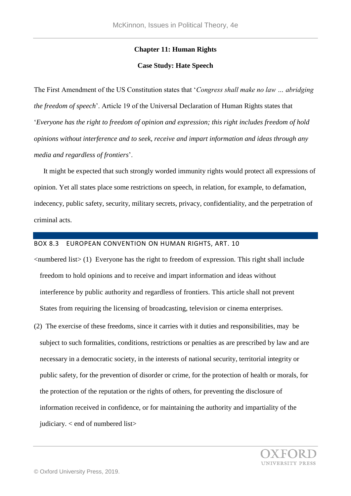## **Chapter 11: Human Rights**

#### **Case Study: Hate Speech**

The First Amendment of the US Constitution states that '*Congress shall make no law … abridging the freedom of speech*'. Article 19 of the Universal Declaration of Human Rights states that '*Everyone has the right to freedom of opinion and expression; this right includes freedom of hold opinions without interference and to seek, receive and impart information and ideas through any media and regardless of frontiers*'.

 It might be expected that such strongly worded immunity rights would protect all expressions of opinion. Yet all states place some restrictions on speech, in relation, for example, to defamation, indecency, public safety, security, military secrets, privacy, confidentiality, and the perpetration of criminal acts.

# BOX 8.3 EUROPEAN CONVENTION ON HUMAN RIGHTS, ART. 10

<numbered list> (1) Everyone has the right to freedom of expression. This right shall include freedom to hold opinions and to receive and impart information and ideas without interference by public authority and regardless of frontiers. This article shall not prevent States from requiring the licensing of broadcasting, television or cinema enterprises.

(2) The exercise of these freedoms, since it carries with it duties and responsibilities, may be subject to such formalities, conditions, restrictions or penalties as are prescribed by law and are necessary in a democratic society, in the interests of national security, territorial integrity or public safety, for the prevention of disorder or crime, for the protection of health or morals, for the protection of the reputation or the rights of others, for preventing the disclosure of information received in confidence, or for maintaining the authority and impartiality of the judiciary. < end of numbered list>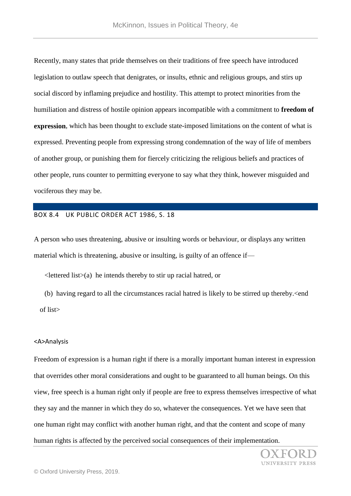Recently, many states that pride themselves on their traditions of free speech have introduced legislation to outlaw speech that denigrates, or insults, ethnic and religious groups, and stirs up social discord by inflaming prejudice and hostility. This attempt to protect minorities from the humiliation and distress of hostile opinion appears incompatible with a commitment to **freedom of expression**, which has been thought to exclude state-imposed limitations on the content of what is expressed. Preventing people from expressing strong condemnation of the way of life of members of another group, or punishing them for fiercely criticizing the religious beliefs and practices of other people, runs counter to permitting everyone to say what they think, however misguided and vociferous they may be.

### BOX 8.4 UK PUBLIC ORDER ACT 1986, S. 18

A person who uses threatening, abusive or insulting words or behaviour, or displays any written material which is threatening, abusive or insulting, is guilty of an offence if—

 $\leq$  lettered list $\geq$  (a) he intends thereby to stir up racial hatred, or

 (b) having regard to all the circumstances racial hatred is likely to be stirred up thereby.<end of list>

#### <A>Analysis

Freedom of expression is a human right if there is a morally important human interest in expression that overrides other moral considerations and ought to be guaranteed to all human beings. On this view, free speech is a human right only if people are free to express themselves irrespective of what they say and the manner in which they do so, whatever the consequences. Yet we have seen that one human right may conflict with another human right, and that the content and scope of many human rights is affected by the perceived social consequences of their implementation.

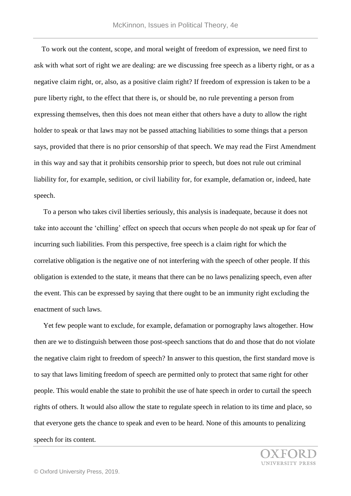To work out the content, scope, and moral weight of freedom of expression, we need first to ask with what sort of right we are dealing: are we discussing free speech as a liberty right, or as a negative claim right, or, also, as a positive claim right? If freedom of expression is taken to be a pure liberty right, to the effect that there is, or should be, no rule preventing a person from expressing themselves, then this does not mean either that others have a duty to allow the right holder to speak or that laws may not be passed attaching liabilities to some things that a person says, provided that there is no prior censorship of that speech. We may read the First Amendment in this way and say that it prohibits censorship prior to speech, but does not rule out criminal liability for, for example, sedition, or civil liability for, for example, defamation or, indeed, hate speech.

 To a person who takes civil liberties seriously, this analysis is inadequate, because it does not take into account the 'chilling' effect on speech that occurs when people do not speak up for fear of incurring such liabilities. From this perspective, free speech is a claim right for which the correlative obligation is the negative one of not interfering with the speech of other people. If this obligation is extended to the state, it means that there can be no laws penalizing speech, even after the event. This can be expressed by saying that there ought to be an immunity right excluding the enactment of such laws.

 Yet few people want to exclude, for example, defamation or pornography laws altogether. How then are we to distinguish between those post-speech sanctions that do and those that do not violate the negative claim right to freedom of speech? In answer to this question, the first standard move is to say that laws limiting freedom of speech are permitted only to protect that same right for other people. This would enable the state to prohibit the use of hate speech in order to curtail the speech rights of others. It would also allow the state to regulate speech in relation to its time and place, so that everyone gets the chance to speak and even to be heard. None of this amounts to penalizing speech for its content.

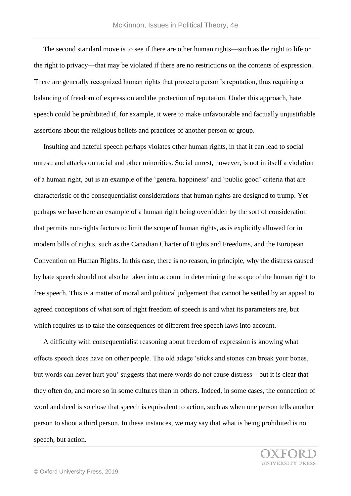The second standard move is to see if there are other human rights—such as the right to life or the right to privacy—that may be violated if there are no restrictions on the contents of expression. There are generally recognized human rights that protect a person's reputation, thus requiring a balancing of freedom of expression and the protection of reputation. Under this approach, hate speech could be prohibited if, for example, it were to make unfavourable and factually unjustifiable assertions about the religious beliefs and practices of another person or group.

 Insulting and hateful speech perhaps violates other human rights, in that it can lead to social unrest, and attacks on racial and other minorities. Social unrest, however, is not in itself a violation of a human right, but is an example of the 'general happiness' and 'public good' criteria that are characteristic of the consequentialist considerations that human rights are designed to trump. Yet perhaps we have here an example of a human right being overridden by the sort of consideration that permits non-rights factors to limit the scope of human rights, as is explicitly allowed for in modern bills of rights, such as the Canadian Charter of Rights and Freedoms, and the European Convention on Human Rights. In this case, there is no reason, in principle, why the distress caused by hate speech should not also be taken into account in determining the scope of the human right to free speech. This is a matter of moral and political judgement that cannot be settled by an appeal to agreed conceptions of what sort of right freedom of speech is and what its parameters are, but which requires us to take the consequences of different free speech laws into account.

 A difficulty with consequentialist reasoning about freedom of expression is knowing what effects speech does have on other people. The old adage 'sticks and stones can break your bones, but words can never hurt you' suggests that mere words do not cause distress—but it is clear that they often do, and more so in some cultures than in others. Indeed, in some cases, the connection of word and deed is so close that speech is equivalent to action, such as when one person tells another person to shoot a third person. In these instances, we may say that what is being prohibited is not speech, but action.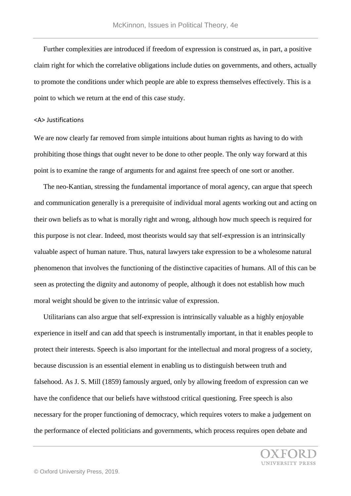Further complexities are introduced if freedom of expression is construed as, in part, a positive claim right for which the correlative obligations include duties on governments, and others, actually to promote the conditions under which people are able to express themselves effectively. This is a point to which we return at the end of this case study.

## <A> Justifications

We are now clearly far removed from simple intuitions about human rights as having to do with prohibiting those things that ought never to be done to other people. The only way forward at this point is to examine the range of arguments for and against free speech of one sort or another.

 The neo-Kantian, stressing the fundamental importance of moral agency, can argue that speech and communication generally is a prerequisite of individual moral agents working out and acting on their own beliefs as to what is morally right and wrong, although how much speech is required for this purpose is not clear. Indeed, most theorists would say that self-expression is an intrinsically valuable aspect of human nature. Thus, natural lawyers take expression to be a wholesome natural phenomenon that involves the functioning of the distinctive capacities of humans. All of this can be seen as protecting the dignity and autonomy of people, although it does not establish how much moral weight should be given to the intrinsic value of expression.

 Utilitarians can also argue that self-expression is intrinsically valuable as a highly enjoyable experience in itself and can add that speech is instrumentally important, in that it enables people to protect their interests. Speech is also important for the intellectual and moral progress of a society, because discussion is an essential element in enabling us to distinguish between truth and falsehood. As J. S. Mill (1859) famously argued, only by allowing freedom of expression can we have the confidence that our beliefs have withstood critical questioning. Free speech is also necessary for the proper functioning of democracy, which requires voters to make a judgement on the performance of elected politicians and governments, which process requires open debate and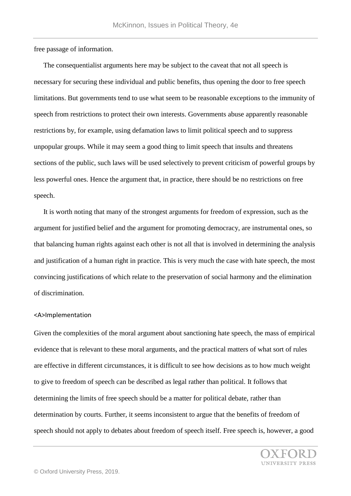free passage of information.

 The consequentialist arguments here may be subject to the caveat that not all speech is necessary for securing these individual and public benefits, thus opening the door to free speech limitations. But governments tend to use what seem to be reasonable exceptions to the immunity of speech from restrictions to protect their own interests. Governments abuse apparently reasonable restrictions by, for example, using defamation laws to limit political speech and to suppress unpopular groups. While it may seem a good thing to limit speech that insults and threatens sections of the public, such laws will be used selectively to prevent criticism of powerful groups by less powerful ones. Hence the argument that, in practice, there should be no restrictions on free speech.

 It is worth noting that many of the strongest arguments for freedom of expression, such as the argument for justified belief and the argument for promoting democracy, are instrumental ones, so that balancing human rights against each other is not all that is involved in determining the analysis and justification of a human right in practice. This is very much the case with hate speech, the most convincing justifications of which relate to the preservation of social harmony and the elimination of discrimination.

#### <A>Implementation

Given the complexities of the moral argument about sanctioning hate speech, the mass of empirical evidence that is relevant to these moral arguments, and the practical matters of what sort of rules are effective in different circumstances, it is difficult to see how decisions as to how much weight to give to freedom of speech can be described as legal rather than political. It follows that determining the limits of free speech should be a matter for political debate, rather than determination by courts. Further, it seems inconsistent to argue that the benefits of freedom of speech should not apply to debates about freedom of speech itself. Free speech is, however, a good